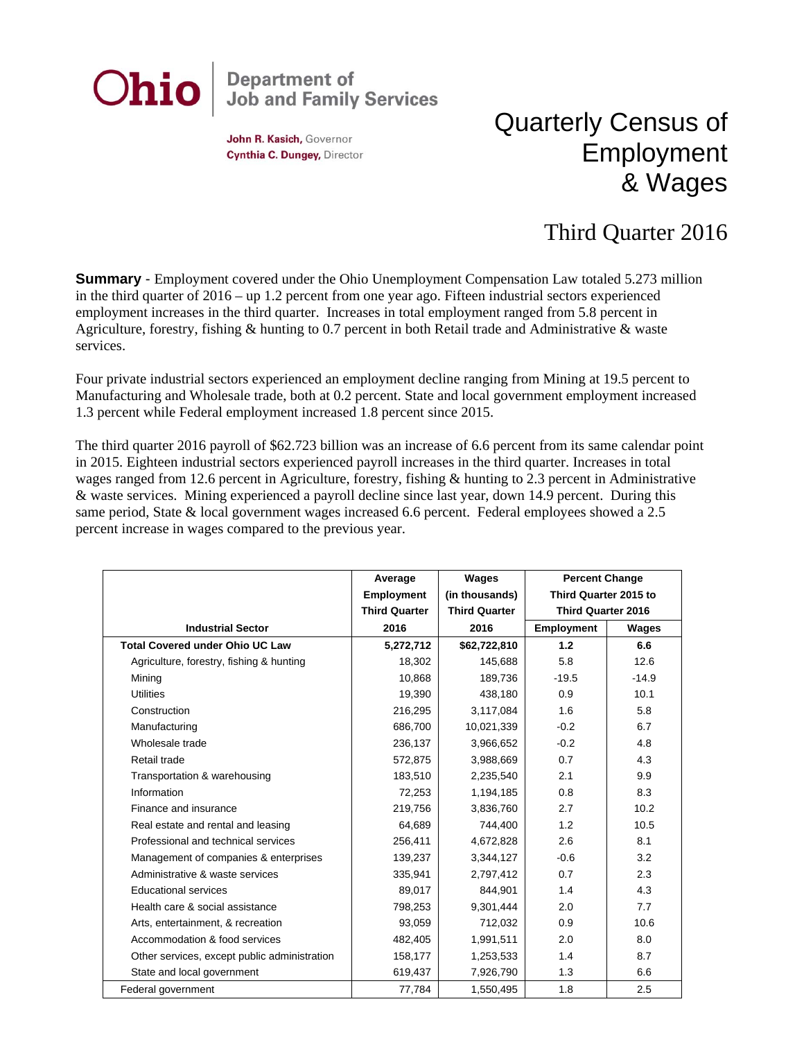

John R. Kasich, Governor Cynthia C. Dungey, Director

## Quarterly Census of Employment & Wages

## Third Quarter 2016

**Summary** - Employment covered under the Ohio Unemployment Compensation Law totaled 5.273 million in the third quarter of 2016 – up 1.2 percent from one year ago. Fifteen industrial sectors experienced employment increases in the third quarter. Increases in total employment ranged from 5.8 percent in Agriculture, forestry, fishing & hunting to 0.7 percent in both Retail trade and Administrative & waste services.

Four private industrial sectors experienced an employment decline ranging from Mining at 19.5 percent to Manufacturing and Wholesale trade, both at 0.2 percent. State and local government employment increased 1.3 percent while Federal employment increased 1.8 percent since 2015.

The third quarter 2016 payroll of \$62.723 billion was an increase of 6.6 percent from its same calendar point in 2015. Eighteen industrial sectors experienced payroll increases in the third quarter. Increases in total wages ranged from 12.6 percent in Agriculture, forestry, fishing & hunting to 2.3 percent in Administrative & waste services. Mining experienced a payroll decline since last year, down 14.9 percent. During this same period, State & local government wages increased 6.6 percent. Federal employees showed a 2.5 percent increase in wages compared to the previous year.

|                                              | Average              | Wages                | <b>Percent Change</b><br>Third Quarter 2015 to |         |
|----------------------------------------------|----------------------|----------------------|------------------------------------------------|---------|
|                                              | <b>Employment</b>    | (in thousands)       |                                                |         |
|                                              | <b>Third Quarter</b> | <b>Third Quarter</b> | <b>Third Quarter 2016</b>                      |         |
| <b>Industrial Sector</b>                     | 2016                 | 2016                 | Employment                                     | Wages   |
| <b>Total Covered under Ohio UC Law</b>       | 5,272,712            | \$62,722,810         | 1.2                                            | 6.6     |
| Agriculture, forestry, fishing & hunting     | 18,302               | 145,688              | 5.8                                            | 12.6    |
| Mining                                       | 10,868               | 189,736              | $-19.5$                                        | $-14.9$ |
| <b>Utilities</b>                             | 19,390               | 438,180              | 0.9                                            | 10.1    |
| Construction                                 | 216,295              | 3,117,084            | 1.6                                            | 5.8     |
| Manufacturing                                | 686,700              | 10,021,339           | $-0.2$                                         | 6.7     |
| Wholesale trade                              | 236,137              | 3,966,652            | $-0.2$                                         | 4.8     |
| Retail trade                                 | 572,875              | 3,988,669            | 0.7                                            | 4.3     |
| Transportation & warehousing                 | 183,510              | 2,235,540            | 2.1                                            | 9.9     |
| Information                                  | 72,253               | 1,194,185            | 0.8                                            | 8.3     |
| Finance and insurance                        | 219,756              | 3,836,760            | 2.7                                            | 10.2    |
| Real estate and rental and leasing           | 64,689               | 744,400              | 1.2                                            | 10.5    |
| Professional and technical services          | 256,411              | 4,672,828            | 2.6                                            | 8.1     |
| Management of companies & enterprises        | 139,237              | 3,344,127            | $-0.6$                                         | 3.2     |
| Administrative & waste services              | 335,941              | 2,797,412            | 0.7                                            | 2.3     |
| <b>Educational services</b>                  | 89,017               | 844,901              | 1.4                                            | 4.3     |
| Health care & social assistance              | 798,253              | 9,301,444            | 2.0                                            | 7.7     |
| Arts, entertainment, & recreation            | 93,059               | 712,032              | 0.9                                            | 10.6    |
| Accommodation & food services                | 482,405              | 1,991,511            | 2.0                                            | 8.0     |
| Other services, except public administration | 158,177              | 1,253,533            | 1.4                                            | 8.7     |
| State and local government                   | 619,437              | 7,926,790            | 1.3                                            | 6.6     |
| Federal government                           | 77,784               | 1,550,495            | 1.8                                            | 2.5     |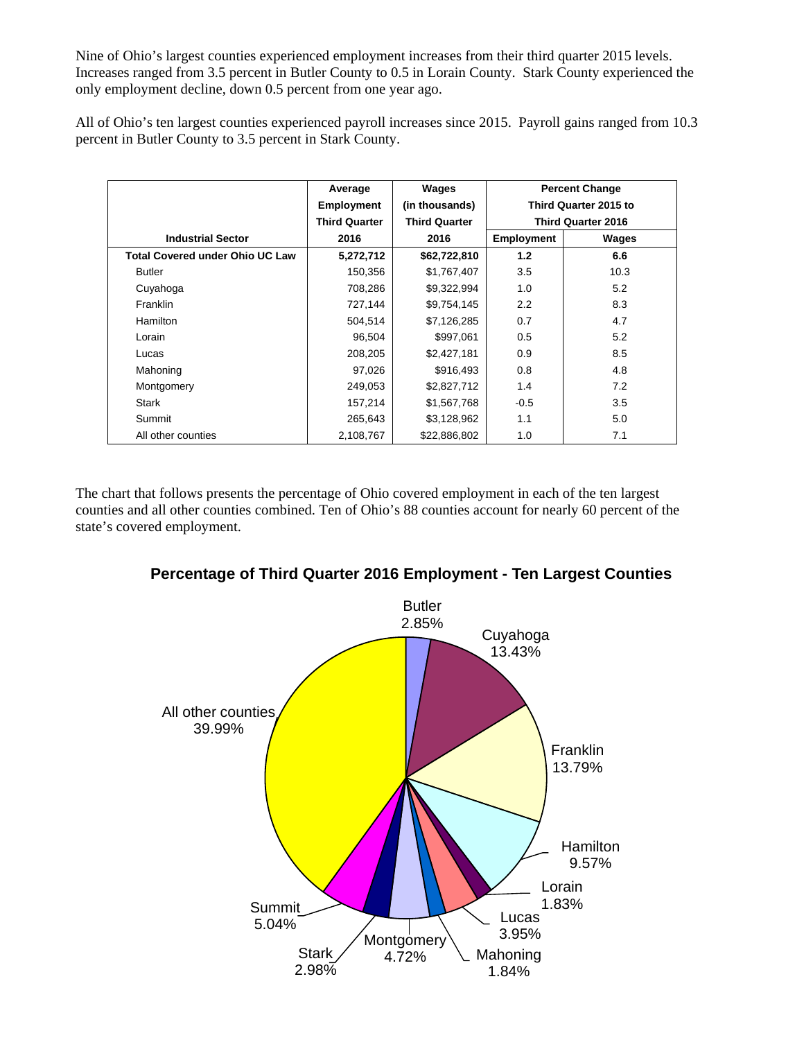Nine of Ohio's largest counties experienced employment increases from their third quarter 2015 levels. Increases ranged from 3.5 percent in Butler County to 0.5 in Lorain County. Stark County experienced the only employment decline, down 0.5 percent from one year ago.

All of Ohio's ten largest counties experienced payroll increases since 2015. Payroll gains ranged from 10.3 percent in Butler County to 3.5 percent in Stark County.

|                                        | Average              | Wages                | <b>Percent Change</b>     |       |
|----------------------------------------|----------------------|----------------------|---------------------------|-------|
|                                        | <b>Employment</b>    | (in thousands)       | Third Quarter 2015 to     |       |
|                                        | <b>Third Quarter</b> | <b>Third Quarter</b> | <b>Third Quarter 2016</b> |       |
| <b>Industrial Sector</b>               | 2016                 | 2016                 | <b>Employment</b>         | Wages |
| <b>Total Covered under Ohio UC Law</b> | 5,272,712            | \$62,722,810         | 1.2                       | 6.6   |
| <b>Butler</b>                          | 150,356              | \$1,767,407          | 3.5                       | 10.3  |
| Cuyahoga                               | 708,286              | \$9,322,994          | 1.0                       | 5.2   |
| <b>Franklin</b>                        | 727,144              | \$9,754,145          | 2.2                       | 8.3   |
| Hamilton                               | 504,514              | \$7,126,285          | 0.7                       | 4.7   |
| Lorain                                 | 96,504               | \$997,061            | 0.5                       | 5.2   |
| Lucas                                  | 208,205              | \$2,427,181          | 0.9                       | 8.5   |
| Mahoning                               | 97,026               | \$916,493            | 0.8                       | 4.8   |
| Montgomery                             | 249,053              | \$2,827,712          | 1.4                       | 7.2   |
| Stark                                  | 157,214              | \$1,567,768          | $-0.5$                    | 3.5   |
| Summit                                 | 265,643              | \$3,128,962          | 1.1                       | 5.0   |
| All other counties                     | 2,108,767            | \$22,886,802         | 1.0                       | 7.1   |

The chart that follows presents the percentage of Ohio covered employment in each of the ten largest counties and all other counties combined. Ten of Ohio's 88 counties account for nearly 60 percent of the state's covered employment.



**Percentage of Third Quarter 2016 Employment - Ten Largest Counties**